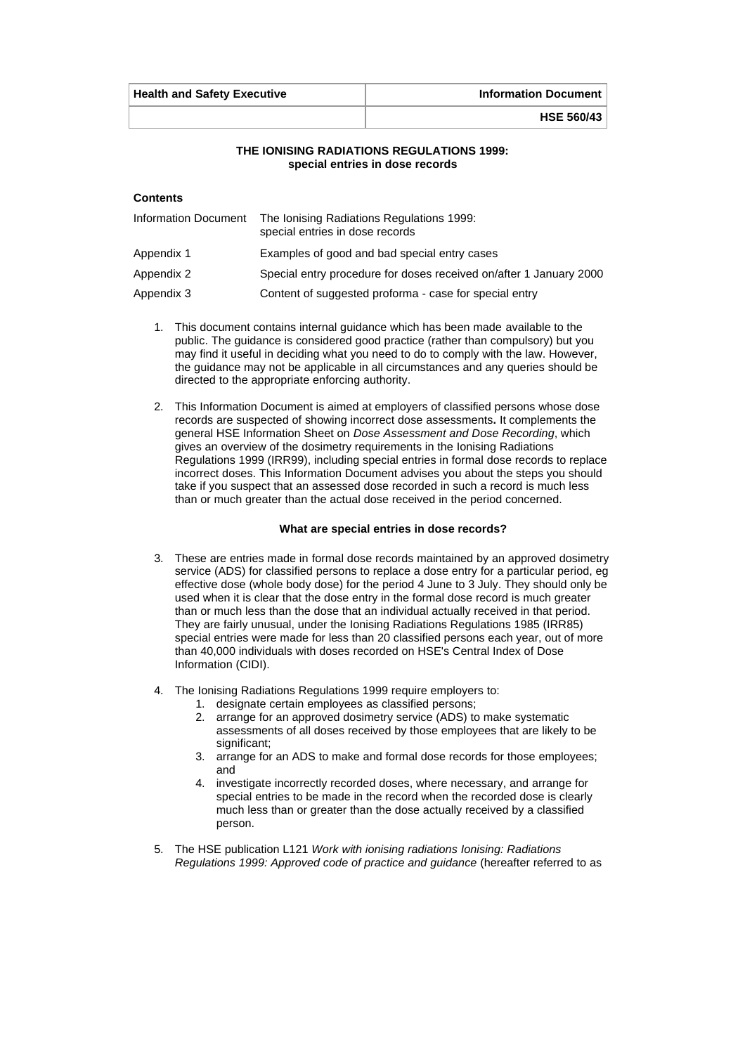| <b>Health and Safety Executive</b> | <b>Information Document</b> |
|------------------------------------|-----------------------------|
|                                    | <b>HSE 560/43</b>           |

#### **THE IONISING RADIATIONS REGULATIONS 1999: special entries in dose records**

## **Contents**

| Information Document | The Ionising Radiations Regulations 1999:<br>special entries in dose records |
|----------------------|------------------------------------------------------------------------------|
| Appendix 1           | Examples of good and bad special entry cases                                 |
| Appendix 2           | Special entry procedure for doses received on/after 1 January 2000           |
| Appendix 3           | Content of suggested proforma - case for special entry                       |

- 1. This document contains internal guidance which has been made available to the public. The guidance is considered good practice (rather than compulsory) but you may find it useful in deciding what you need to do to comply with the law. However, the guidance may not be applicable in all circumstances and any queries should be directed to the appropriate enforcing authority.
- 2. This Information Document is aimed at employers of classified persons whose dose records are suspected of showing incorrect dose assessments**.** It complements the general HSE Information Sheet on *Dose Assessment and Dose Recording*, which gives an overview of the dosimetry requirements in the Ionising Radiations Regulations 1999 (IRR99), including special entries in formal dose records to replace incorrect doses. This Information Document advises you about the steps you should take if you suspect that an assessed dose recorded in such a record is much less than or much greater than the actual dose received in the period concerned.

#### **What are special entries in dose records?**

- 3. These are entries made in formal dose records maintained by an approved dosimetry service (ADS) for classified persons to replace a dose entry for a particular period, eg effective dose (whole body dose) for the period 4 June to 3 July. They should only be used when it is clear that the dose entry in the formal dose record is much greater than or much less than the dose that an individual actually received in that period. They are fairly unusual, under the Ionising Radiations Regulations 1985 (IRR85) special entries were made for less than 20 classified persons each year, out of more than 40,000 individuals with doses recorded on HSE's Central Index of Dose Information (CIDI).
- 4. The Ionising Radiations Regulations 1999 require employers to:
	- 1. designate certain employees as classified persons;
	- 2. arrange for an approved dosimetry service (ADS) to make systematic assessments of all doses received by those employees that are likely to be significant;
	- 3. arrange for an ADS to make and formal dose records for those employees; and
	- 4. investigate incorrectly recorded doses, where necessary, and arrange for special entries to be made in the record when the recorded dose is clearly much less than or greater than the dose actually received by a classified person.
- 5. The HSE publication L121 *Work with ionising radiations Ionising: Radiations Regulations 1999: Approved code of practice and guidance* (hereafter referred to as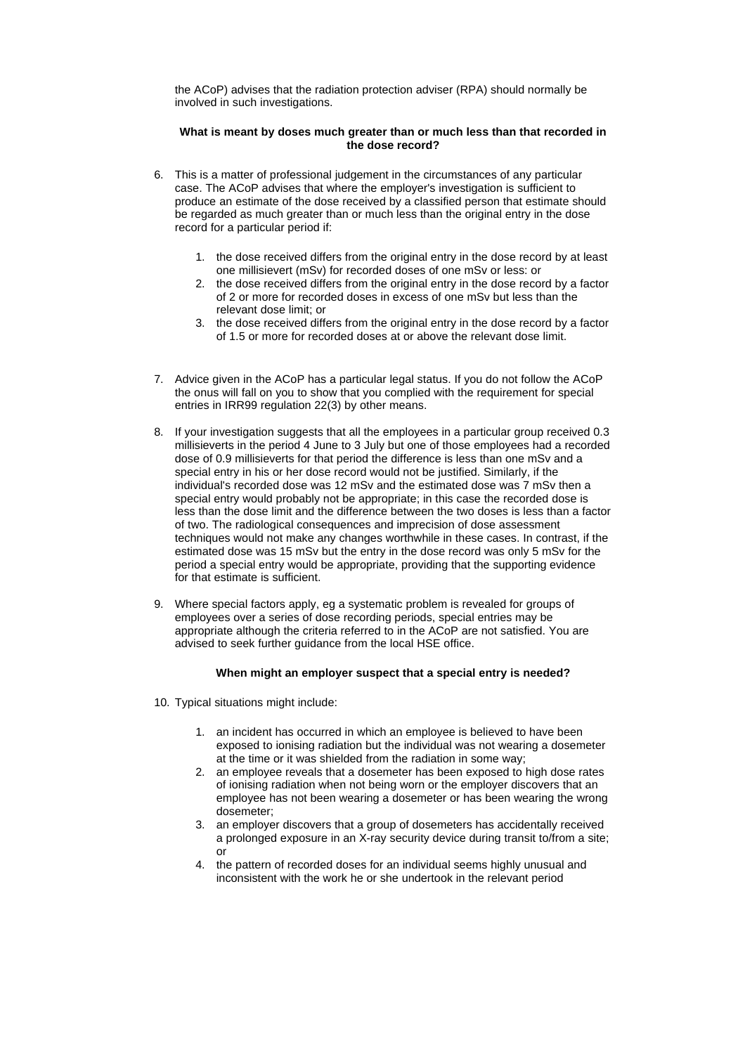the ACoP) advises that the radiation protection adviser (RPA) should normally be involved in such investigations.

### **What is meant by doses much greater than or much less than that recorded in the dose record?**

- 6. This is a matter of professional judgement in the circumstances of any particular case. The ACoP advises that where the employer's investigation is sufficient to produce an estimate of the dose received by a classified person that estimate should be regarded as much greater than or much less than the original entry in the dose record for a particular period if:
	- 1. the dose received differs from the original entry in the dose record by at least one millisievert (mSv) for recorded doses of one mSv or less: or
	- 2. the dose received differs from the original entry in the dose record by a factor of 2 or more for recorded doses in excess of one mSv but less than the relevant dose limit; or
	- 3. the dose received differs from the original entry in the dose record by a factor of 1.5 or more for recorded doses at or above the relevant dose limit.
- 7. Advice given in the ACoP has a particular legal status. If you do not follow the ACoP the onus will fall on you to show that you complied with the requirement for special entries in IRR99 regulation 22(3) by other means.
- 8. If your investigation suggests that all the employees in a particular group received 0.3 millisieverts in the period 4 June to 3 July but one of those employees had a recorded dose of 0.9 millisieverts for that period the difference is less than one mSv and a special entry in his or her dose record would not be justified. Similarly, if the individual's recorded dose was 12 mSv and the estimated dose was 7 mSv then a special entry would probably not be appropriate; in this case the recorded dose is less than the dose limit and the difference between the two doses is less than a factor of two. The radiological consequences and imprecision of dose assessment techniques would not make any changes worthwhile in these cases. In contrast, if the estimated dose was 15 mSv but the entry in the dose record was only 5 mSv for the period a special entry would be appropriate, providing that the supporting evidence for that estimate is sufficient.
- 9. Where special factors apply, eg a systematic problem is revealed for groups of employees over a series of dose recording periods, special entries may be appropriate although the criteria referred to in the ACoP are not satisfied. You are advised to seek further guidance from the local HSE office.

#### **When might an employer suspect that a special entry is needed?**

- 10. Typical situations might include:
	- 1. an incident has occurred in which an employee is believed to have been exposed to ionising radiation but the individual was not wearing a dosemeter at the time or it was shielded from the radiation in some way;
	- 2. an employee reveals that a dosemeter has been exposed to high dose rates of ionising radiation when not being worn or the employer discovers that an employee has not been wearing a dosemeter or has been wearing the wrong dosemeter;
	- 3. an employer discovers that a group of dosemeters has accidentally received a prolonged exposure in an X-ray security device during transit to/from a site; or
	- 4. the pattern of recorded doses for an individual seems highly unusual and inconsistent with the work he or she undertook in the relevant period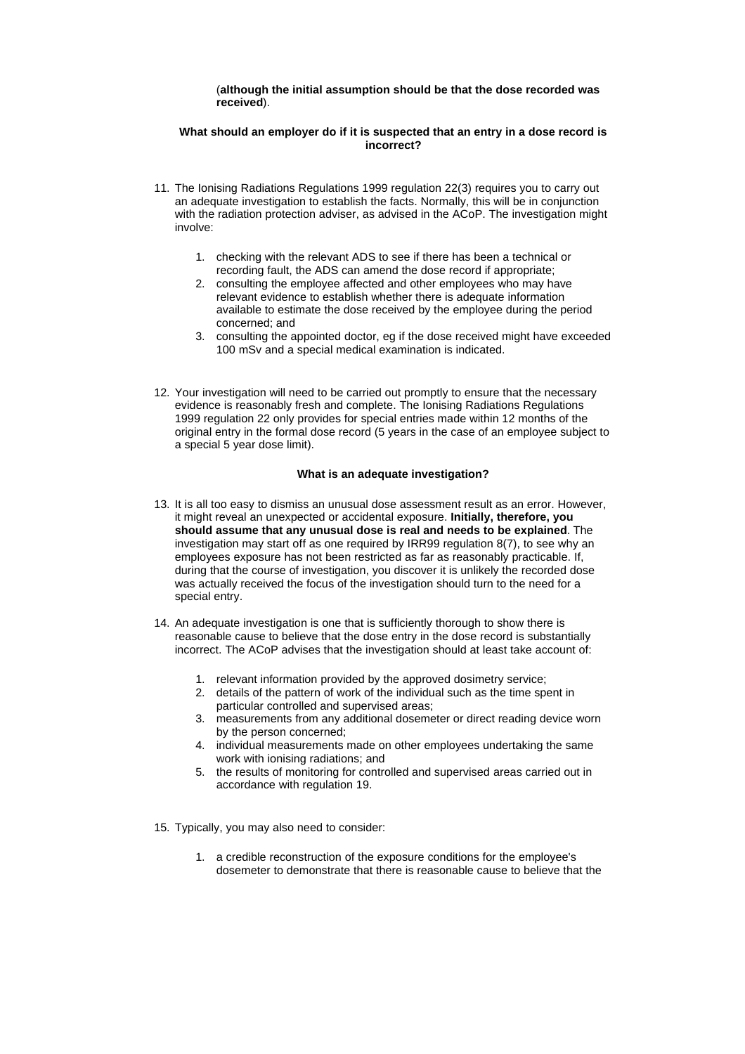#### (**although the initial assumption should be that the dose recorded was received**).

### **What should an employer do if it is suspected that an entry in a dose record is incorrect?**

- 11. The Ionising Radiations Regulations 1999 regulation 22(3) requires you to carry out an adequate investigation to establish the facts. Normally, this will be in conjunction with the radiation protection adviser, as advised in the ACoP. The investigation might involve:
	- 1. checking with the relevant ADS to see if there has been a technical or recording fault, the ADS can amend the dose record if appropriate;
	- 2. consulting the employee affected and other employees who may have relevant evidence to establish whether there is adequate information available to estimate the dose received by the employee during the period concerned; and
	- 3. consulting the appointed doctor, eg if the dose received might have exceeded 100 mSv and a special medical examination is indicated.
- 12. Your investigation will need to be carried out promptly to ensure that the necessary evidence is reasonably fresh and complete. The Ionising Radiations Regulations 1999 regulation 22 only provides for special entries made within 12 months of the original entry in the formal dose record (5 years in the case of an employee subject to a special 5 year dose limit).

### **What is an adequate investigation?**

- 13. It is all too easy to dismiss an unusual dose assessment result as an error. However, it might reveal an unexpected or accidental exposure. **Initially, therefore, you should assume that any unusual dose is real and needs to be explained**. The investigation may start off as one required by IRR99 regulation 8(7), to see why an employees exposure has not been restricted as far as reasonably practicable. If, during that the course of investigation, you discover it is unlikely the recorded dose was actually received the focus of the investigation should turn to the need for a special entry.
- 14. An adequate investigation is one that is sufficiently thorough to show there is reasonable cause to believe that the dose entry in the dose record is substantially incorrect. The ACoP advises that the investigation should at least take account of:
	- 1. relevant information provided by the approved dosimetry service;
	- 2. details of the pattern of work of the individual such as the time spent in particular controlled and supervised areas;
	- 3. measurements from any additional dosemeter or direct reading device worn by the person concerned;
	- 4. individual measurements made on other employees undertaking the same work with ionising radiations; and
	- 5. the results of monitoring for controlled and supervised areas carried out in accordance with regulation 19.
- 15. Typically, you may also need to consider:
	- 1. a credible reconstruction of the exposure conditions for the employee's dosemeter to demonstrate that there is reasonable cause to believe that the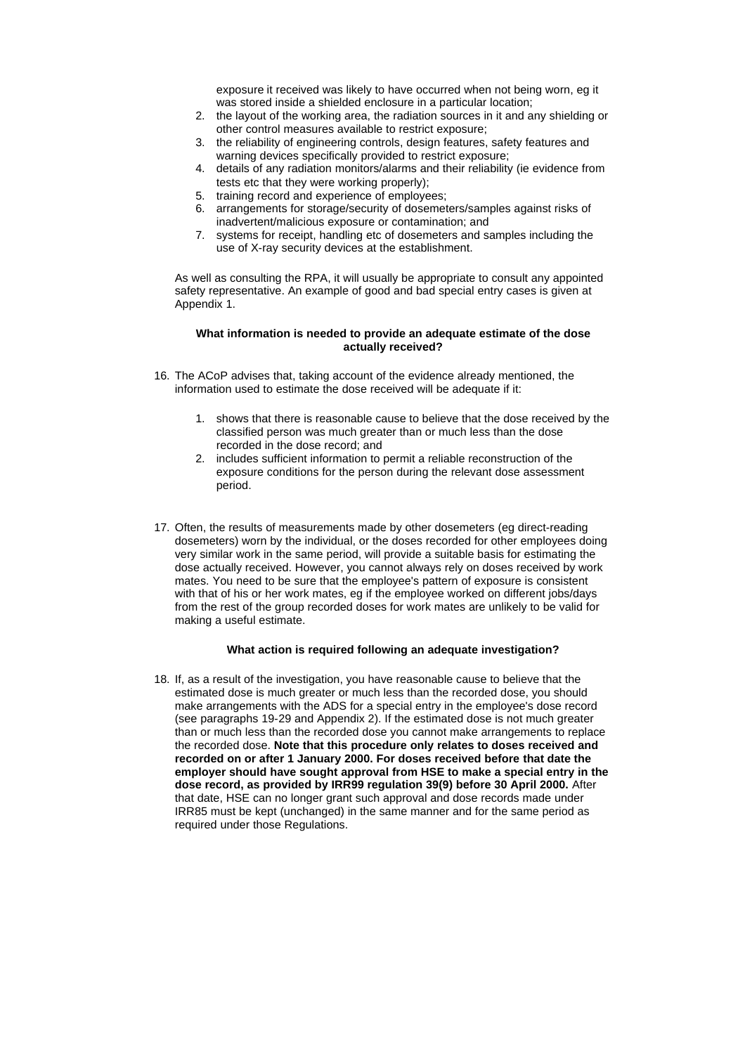exposure it received was likely to have occurred when not being worn, eg it was stored inside a shielded enclosure in a particular location;

- 2. the layout of the working area, the radiation sources in it and any shielding or other control measures available to restrict exposure;
- 3. the reliability of engineering controls, design features, safety features and warning devices specifically provided to restrict exposure;
- 4. details of any radiation monitors/alarms and their reliability (ie evidence from tests etc that they were working properly);
- 5. training record and experience of employees;
- 6. arrangements for storage/security of dosemeters/samples against risks of inadvertent/malicious exposure or contamination; and
- 7. systems for receipt, handling etc of dosemeters and samples including the use of X-ray security devices at the establishment.

As well as consulting the RPA, it will usually be appropriate to consult any appointed safety representative. An example of good and bad special entry cases is given at Appendix 1.

#### **What information is needed to provide an adequate estimate of the dose actually received?**

- 16. The ACoP advises that, taking account of the evidence already mentioned, the information used to estimate the dose received will be adequate if it:
	- 1. shows that there is reasonable cause to believe that the dose received by the classified person was much greater than or much less than the dose recorded in the dose record; and
	- 2. includes sufficient information to permit a reliable reconstruction of the exposure conditions for the person during the relevant dose assessment period.
- 17. Often, the results of measurements made by other dosemeters (eg direct-reading dosemeters) worn by the individual, or the doses recorded for other employees doing very similar work in the same period, will provide a suitable basis for estimating the dose actually received. However, you cannot always rely on doses received by work mates. You need to be sure that the employee's pattern of exposure is consistent with that of his or her work mates, eg if the employee worked on different jobs/days from the rest of the group recorded doses for work mates are unlikely to be valid for making a useful estimate.

#### **What action is required following an adequate investigation?**

18. If, as a result of the investigation, you have reasonable cause to believe that the estimated dose is much greater or much less than the recorded dose, you should make arrangements with the ADS for a special entry in the employee's dose record (see paragraphs 19-29 and Appendix 2). If the estimated dose is not much greater than or much less than the recorded dose you cannot make arrangements to replace the recorded dose. **Note that this procedure only relates to doses received and recorded on or after 1 January 2000. For doses received before that date the employer should have sought approval from HSE to make a special entry in the dose record, as provided by IRR99 regulation 39(9) before 30 April 2000.** After that date, HSE can no longer grant such approval and dose records made under IRR85 must be kept (unchanged) in the same manner and for the same period as required under those Regulations.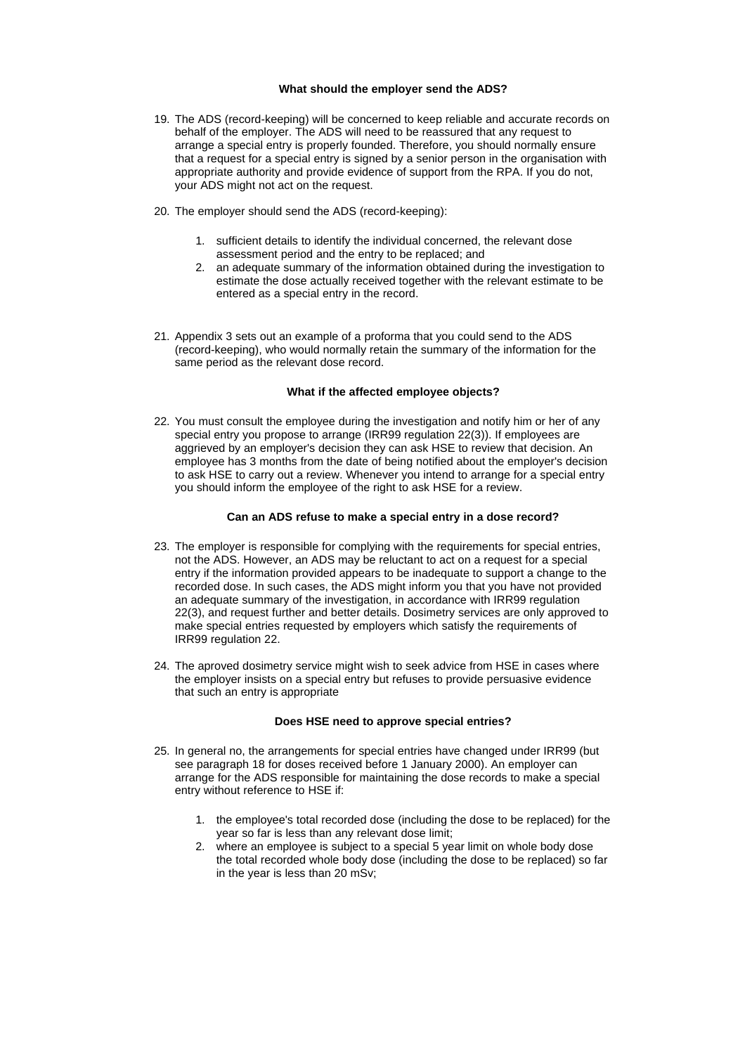### **What should the employer send the ADS?**

- 19. The ADS (record-keeping) will be concerned to keep reliable and accurate records on behalf of the employer. The ADS will need to be reassured that any request to arrange a special entry is properly founded. Therefore, you should normally ensure that a request for a special entry is signed by a senior person in the organisation with appropriate authority and provide evidence of support from the RPA. If you do not, your ADS might not act on the request.
- 20. The employer should send the ADS (record-keeping):
	- 1. sufficient details to identify the individual concerned, the relevant dose assessment period and the entry to be replaced; and
	- 2. an adequate summary of the information obtained during the investigation to estimate the dose actually received together with the relevant estimate to be entered as a special entry in the record.
- 21. Appendix 3 sets out an example of a proforma that you could send to the ADS (record-keeping), who would normally retain the summary of the information for the same period as the relevant dose record.

## **What if the affected employee objects?**

22. You must consult the employee during the investigation and notify him or her of any special entry you propose to arrange (IRR99 regulation 22(3)). If employees are aggrieved by an employer's decision they can ask HSE to review that decision. An employee has 3 months from the date of being notified about the employer's decision to ask HSE to carry out a review. Whenever you intend to arrange for a special entry you should inform the employee of the right to ask HSE for a review.

## **Can an ADS refuse to make a special entry in a dose record?**

- 23. The employer is responsible for complying with the requirements for special entries, not the ADS. However, an ADS may be reluctant to act on a request for a special entry if the information provided appears to be inadequate to support a change to the recorded dose. In such cases, the ADS might inform you that you have not provided an adequate summary of the investigation, in accordance with IRR99 regulation 22(3), and request further and better details. Dosimetry services are only approved to make special entries requested by employers which satisfy the requirements of IRR99 regulation 22.
- 24. The aproved dosimetry service might wish to seek advice from HSE in cases where the employer insists on a special entry but refuses to provide persuasive evidence that such an entry is appropriate

## **Does HSE need to approve special entries?**

- 25. In general no, the arrangements for special entries have changed under IRR99 (but see paragraph 18 for doses received before 1 January 2000). An employer can arrange for the ADS responsible for maintaining the dose records to make a special entry without reference to HSE if:
	- 1. the employee's total recorded dose (including the dose to be replaced) for the year so far is less than any relevant dose limit;
	- 2. where an employee is subject to a special 5 year limit on whole body dose the total recorded whole body dose (including the dose to be replaced) so far in the year is less than 20 mSv: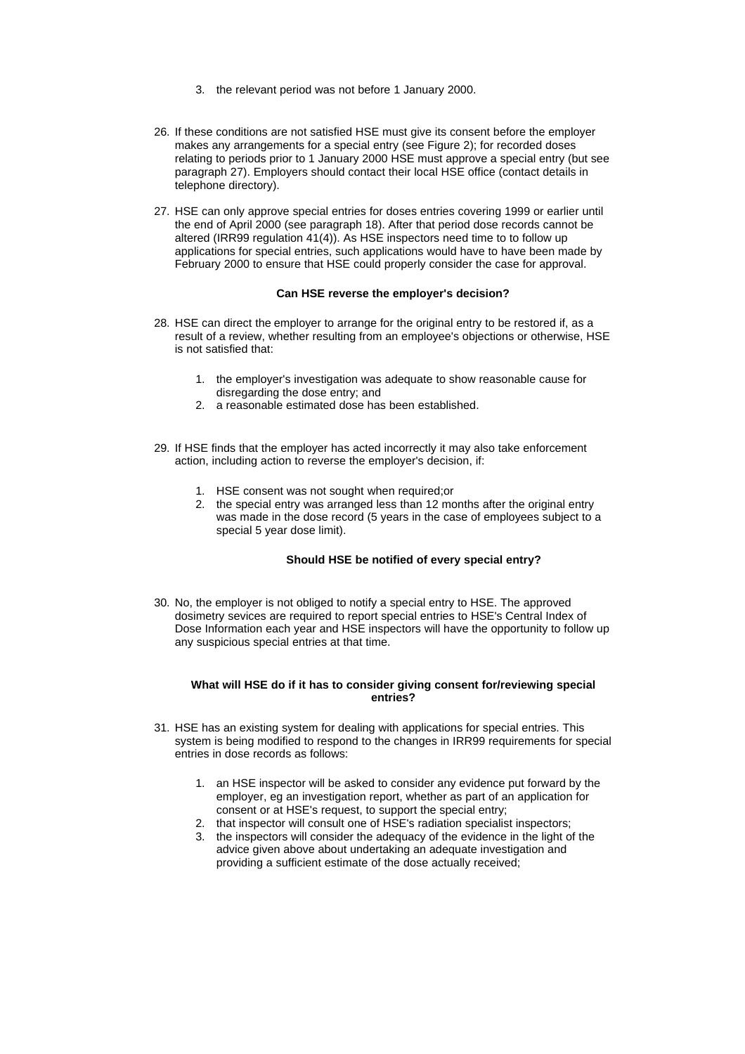- 3. the relevant period was not before 1 January 2000.
- 26. If these conditions are not satisfied HSE must give its consent before the employer makes any arrangements for a special entry (see Figure 2); for recorded doses relating to periods prior to 1 January 2000 HSE must approve a special entry (but see paragraph 27). Employers should contact their local HSE office (contact details in telephone directory).
- 27. HSE can only approve special entries for doses entries covering 1999 or earlier until the end of April 2000 (see paragraph 18). After that period dose records cannot be altered (IRR99 regulation 41(4)). As HSE inspectors need time to to follow up applications for special entries, such applications would have to have been made by February 2000 to ensure that HSE could properly consider the case for approval.

### **Can HSE reverse the employer's decision?**

- 28. HSE can direct the employer to arrange for the original entry to be restored if, as a result of a review, whether resulting from an employee's objections or otherwise, HSE is not satisfied that:
	- 1. the employer's investigation was adequate to show reasonable cause for disregarding the dose entry; and
	- 2. a reasonable estimated dose has been established.
- 29. If HSE finds that the employer has acted incorrectly it may also take enforcement action, including action to reverse the employer's decision, if:
	- 1. HSE consent was not sought when required;or
	- 2. the special entry was arranged less than 12 months after the original entry was made in the dose record (5 years in the case of employees subject to a special 5 year dose limit).

### **Should HSE be notified of every special entry?**

30. No, the employer is not obliged to notify a special entry to HSE. The approved dosimetry sevices are required to report special entries to HSE's Central Index of Dose Information each year and HSE inspectors will have the opportunity to follow up any suspicious special entries at that time.

#### **What will HSE do if it has to consider giving consent for/reviewing special entries?**

- 31. HSE has an existing system for dealing with applications for special entries. This system is being modified to respond to the changes in IRR99 requirements for special entries in dose records as follows:
	- 1. an HSE inspector will be asked to consider any evidence put forward by the employer, eg an investigation report, whether as part of an application for consent or at HSE's request, to support the special entry;
	- 2. that inspector will consult one of HSE's radiation specialist inspectors;
	- 3. the inspectors will consider the adequacy of the evidence in the light of the advice given above about undertaking an adequate investigation and providing a sufficient estimate of the dose actually received;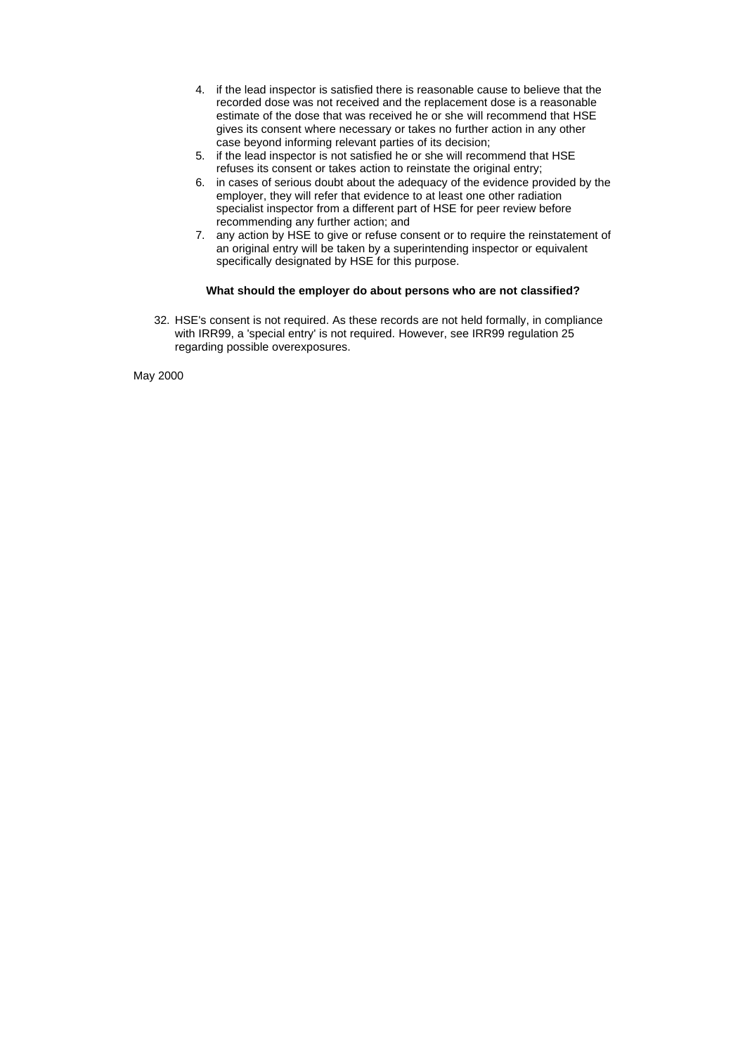- 4. if the lead inspector is satisfied there is reasonable cause to believe that the recorded dose was not received and the replacement dose is a reasonable estimate of the dose that was received he or she will recommend that HSE gives its consent where necessary or takes no further action in any other case beyond informing relevant parties of its decision;
- 5. if the lead inspector is not satisfied he or she will recommend that HSE refuses its consent or takes action to reinstate the original entry;
- 6. in cases of serious doubt about the adequacy of the evidence provided by the employer, they will refer that evidence to at least one other radiation specialist inspector from a different part of HSE for peer review before recommending any further action; and
- 7. any action by HSE to give or refuse consent or to require the reinstatement of an original entry will be taken by a superintending inspector or equivalent specifically designated by HSE for this purpose.

## **What should the employer do about persons who are not classified?**

32. HSE's consent is not required. As these records are not held formally, in compliance with IRR99, a 'special entry' is not required. However, see IRR99 regulation 25 regarding possible overexposures.

May 2000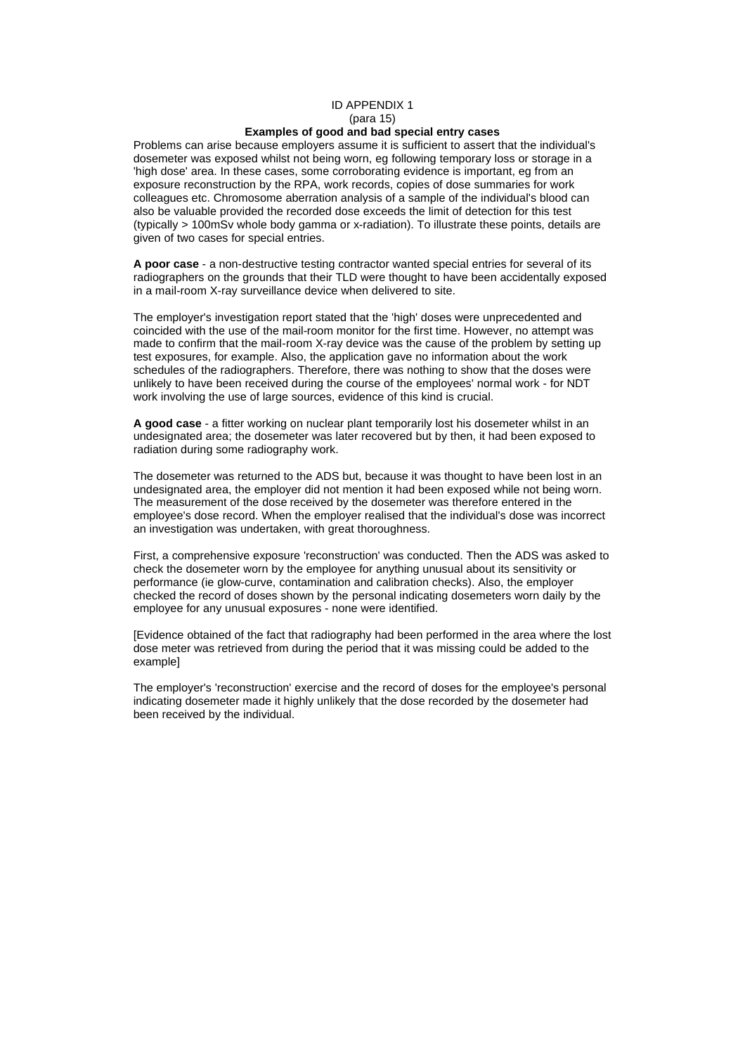#### ID APPENDIX 1 (para 15) **Examples of good and bad special entry cases**

<span id="page-7-0"></span>Problems can arise because employers assume it is sufficient to assert that the individual's dosemeter was exposed whilst not being worn, eg following temporary loss or storage in a 'high dose' area. In these cases, some corroborating evidence is important, eg from an exposure reconstruction by the RPA, work records, copies of dose summaries for work colleagues etc. Chromosome aberration analysis of a sample of the individual's blood can also be valuable provided the recorded dose exceeds the limit of detection for this test (typically > 100mSv whole body gamma or x-radiation). To illustrate these points, details are given of two cases for special entries.

**A poor case** - a non-destructive testing contractor wanted special entries for several of its radiographers on the grounds that their TLD were thought to have been accidentally exposed in a mail-room X-ray surveillance device when delivered to site.

The employer's investigation report stated that the 'high' doses were unprecedented and coincided with the use of the mail-room monitor for the first time. However, no attempt was made to confirm that the mail-room X-ray device was the cause of the problem by setting up test exposures, for example. Also, the application gave no information about the work schedules of the radiographers. Therefore, there was nothing to show that the doses were unlikely to have been received during the course of the employees' normal work - for NDT work involving the use of large sources, evidence of this kind is crucial.

**A good case** - a fitter working on nuclear plant temporarily lost his dosemeter whilst in an undesignated area; the dosemeter was later recovered but by then, it had been exposed to radiation during some radiography work.

The dosemeter was returned to the ADS but, because it was thought to have been lost in an undesignated area, the employer did not mention it had been exposed while not being worn. The measurement of the dose received by the dosemeter was therefore entered in the employee's dose record. When the employer realised that the individual's dose was incorrect an investigation was undertaken, with great thoroughness.

First, a comprehensive exposure 'reconstruction' was conducted. Then the ADS was asked to check the dosemeter worn by the employee for anything unusual about its sensitivity or performance (ie glow-curve, contamination and calibration checks). Also, the employer checked the record of doses shown by the personal indicating dosemeters worn daily by the employee for any unusual exposures - none were identified.

[Evidence obtained of the fact that radiography had been performed in the area where the lost dose meter was retrieved from during the period that it was missing could be added to the example]

The employer's 'reconstruction' exercise and the record of doses for the employee's personal indicating dosemeter made it highly unlikely that the dose recorded by the dosemeter had been received by the individual.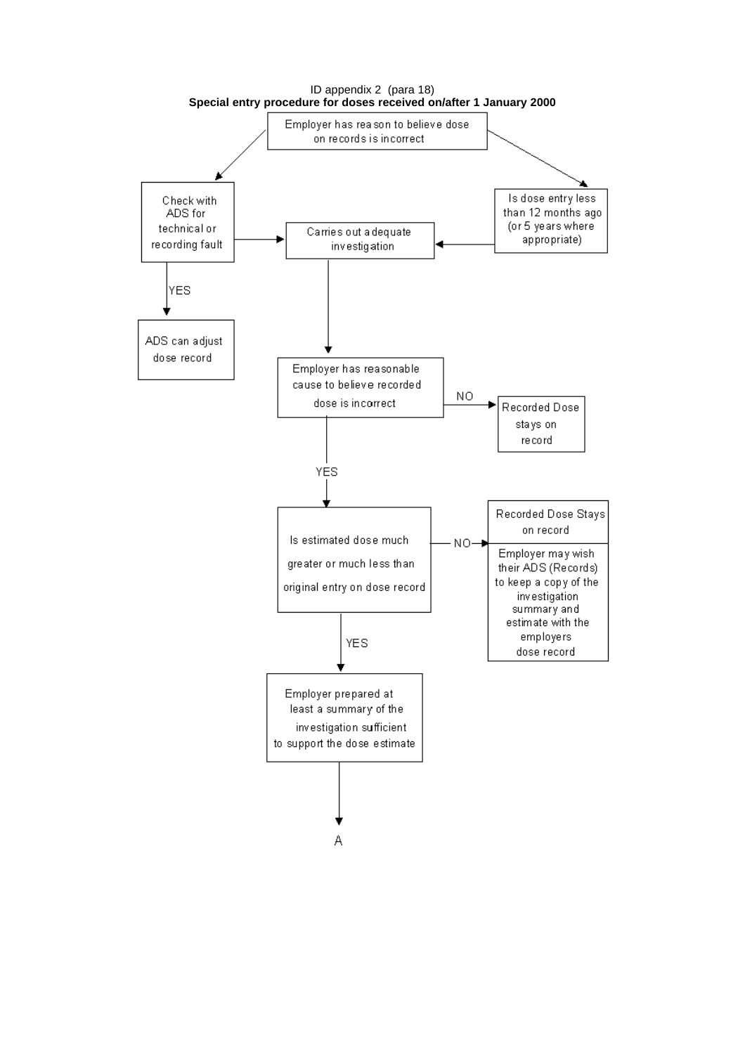<span id="page-8-0"></span>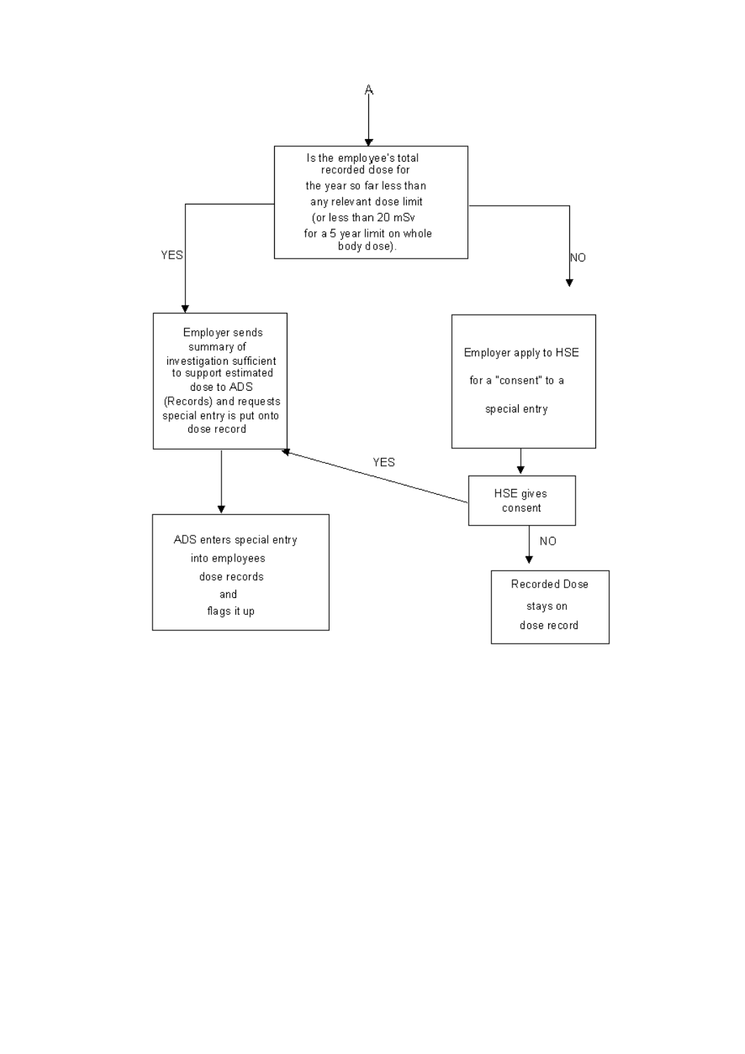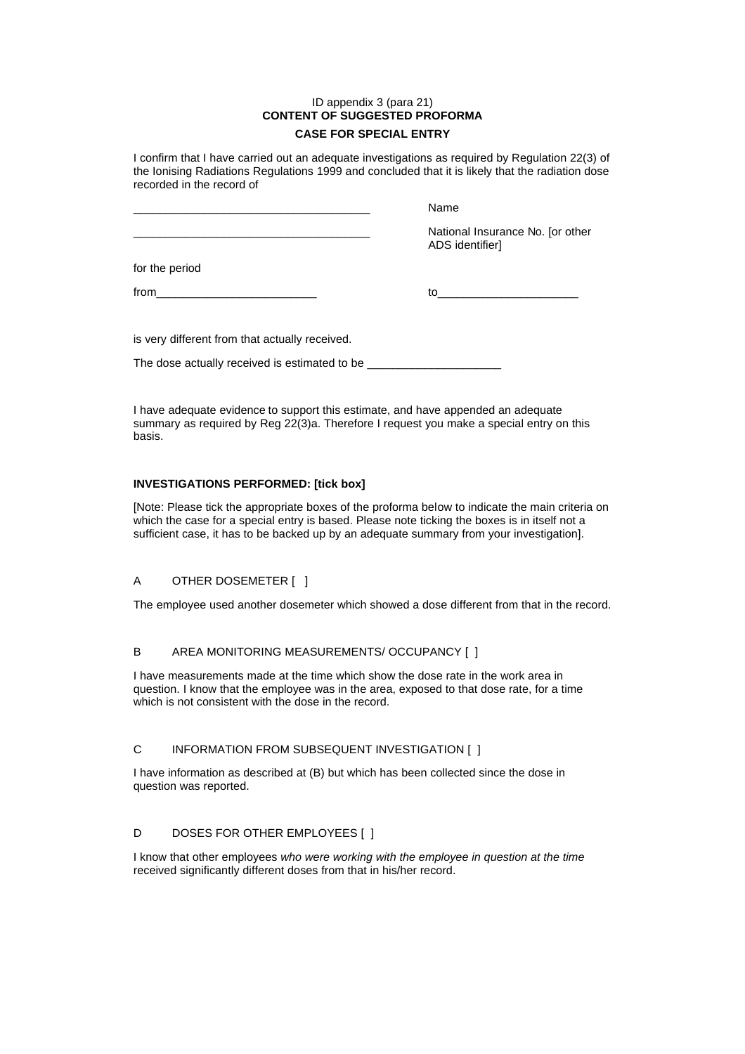## ID appendix 3 (para 21) **CONTENT OF SUGGESTED PROFORMA CASE FOR SPECIAL ENTRY**

<span id="page-10-0"></span>I confirm that I have carried out an adequate investigations as required by Regulation 22(3) of the Ionising Radiations Regulations 1999 and concluded that it is likely that the radiation dose recorded in the record of

\_\_\_\_\_\_\_\_\_\_\_\_\_\_\_\_\_\_\_\_\_\_\_\_\_\_\_\_\_\_\_\_\_\_\_\_\_ Name

|                | National Insurance No. [or other<br>ADS identifier] |
|----------------|-----------------------------------------------------|
| for the period |                                                     |
| from           | to                                                  |
|                |                                                     |

is very different from that actually received.

The dose actually received is estimated to be \_

I have adequate evidence to support this estimate, and have appended an adequate summary as required by Reg 22(3)a. Therefore I request you make a special entry on this basis.

# **INVESTIGATIONS PERFORMED: [tick box]**

[Note: Please tick the appropriate boxes of the proforma below to indicate the main criteria on which the case for a special entry is based. Please note ticking the boxes is in itself not a sufficient case, it has to be backed up by an adequate summary from your investigation].

# A OTHER DOSEMETER [ ]

The employee used another dosemeter which showed a dose different from that in the record.

# B AREA MONITORING MEASUREMENTS/ OCCUPANCY [ ]

I have measurements made at the time which show the dose rate in the work area in question. I know that the employee was in the area, exposed to that dose rate, for a time which is not consistent with the dose in the record.

# C INFORMATION FROM SUBSEQUENT INVESTIGATION [ ]

I have information as described at (B) but which has been collected since the dose in question was reported.

# D DOSES FOR OTHER EMPLOYEES [ ]

I know that other employees *who were working with the employee in question at the time*  received significantly different doses from that in his/her record.